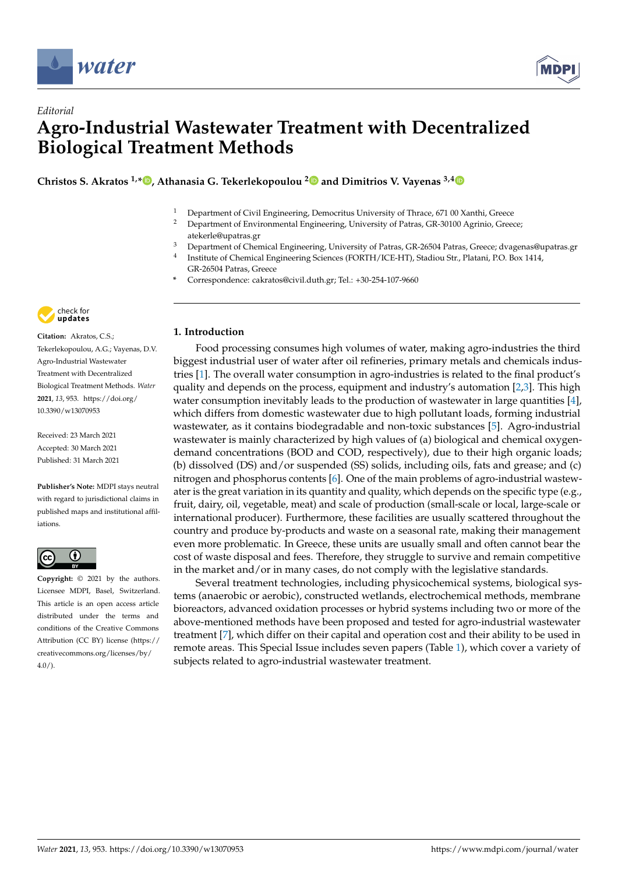

*Editorial*



## **Agro-Industrial Wastewater Treatment with Decentralized Biological Treatment Methods**

**Christos S. Akratos 1,[\\*](https://orcid.org/0000-0003-1935-3466) , Athanasia G. Tekerlekopoulou [2](https://orcid.org/0000-0003-3392-9054) and Dimitrios V. Vayenas 3,[4](https://orcid.org/0000-0003-1325-1960)**

- <sup>1</sup> Department of Civil Engineering, Democritus University of Thrace, 671 00 Xanthi, Greece<br><sup>2</sup> Department of Environmental Engineering, University of Patres, CP, 20100 Agrinic, Greece
- <sup>2</sup> Department of Environmental Engineering, University of Patras, GR-30100 Agrinio, Greece; atekerle@upatras.gr
- <sup>3</sup> Department of Chemical Engineering, University of Patras, GR-26504 Patras, Greece; dvagenas@upatras.gr
- 4 Institute of Chemical Engineering Sciences (FORTH/ICE-HT), Stadiou Str., Platani, P.O. Box 1414, GR-26504 Patras, Greece
- **\*** Correspondence: cakratos@civil.duth.gr; Tel.: +30-254-107-9660



**Citation:** Akratos, C.S.; Tekerlekopoulou, A.G.; Vayenas, D.V. Agro-Industrial Wastewater Treatment with Decentralized Biological Treatment Methods. *Water* **2021**, *13*, 953. [https://doi.org/](https://doi.org/10.3390/w13070953) [10.3390/w13070953](https://doi.org/10.3390/w13070953)

Received: 23 March 2021 Accepted: 30 March 2021 Published: 31 March 2021

**Publisher's Note:** MDPI stays neutral with regard to jurisdictional claims in published maps and institutional affiliations.



**Copyright:** © 2021 by the authors. Licensee MDPI, Basel, Switzerland. This article is an open access article distributed under the terms and conditions of the Creative Commons Attribution (CC BY) license (https:/[/](https://creativecommons.org/licenses/by/4.0/) [creativecommons.org/licenses/by/](https://creativecommons.org/licenses/by/4.0/) 4.0/).

## **1. Introduction**

Food processing consumes high volumes of water, making agro-industries the third biggest industrial user of water after oil refineries, primary metals and chemicals industries [\[1\]](#page-3-0). The overall water consumption in agro-industries is related to the final product's quality and depends on the process, equipment and industry's automation [\[2](#page-3-1)[,3\]](#page-3-2). This high water consumption inevitably leads to the production of wastewater in large quantities [\[4\]](#page-3-3), which differs from domestic wastewater due to high pollutant loads, forming industrial wastewater, as it contains biodegradable and non-toxic substances [\[5\]](#page-3-4). Agro-industrial wastewater is mainly characterized by high values of (a) biological and chemical oxygendemand concentrations (BOD and COD, respectively), due to their high organic loads; (b) dissolved (DS) and/or suspended (SS) solids, including oils, fats and grease; and (c) nitrogen and phosphorus contents [\[6\]](#page-3-5). One of the main problems of agro-industrial wastewater is the great variation in its quantity and quality, which depends on the specific type (e.g., fruit, dairy, oil, vegetable, meat) and scale of production (small-scale or local, large-scale or international producer). Furthermore, these facilities are usually scattered throughout the country and produce by-products and waste on a seasonal rate, making their management even more problematic. In Greece, these units are usually small and often cannot bear the cost of waste disposal and fees. Therefore, they struggle to survive and remain competitive in the market and/or in many cases, do not comply with the legislative standards.

Several treatment technologies, including physicochemical systems, biological systems (anaerobic or aerobic), constructed wetlands, electrochemical methods, membrane bioreactors, advanced oxidation processes or hybrid systems including two or more of the above-mentioned methods have been proposed and tested for agro-industrial wastewater treatment [\[7\]](#page-3-6), which differ on their capital and operation cost and their ability to be used in remote areas. This Special Issue includes seven papers (Table [1\)](#page-1-0), which cover a variety of subjects related to agro-industrial wastewater treatment.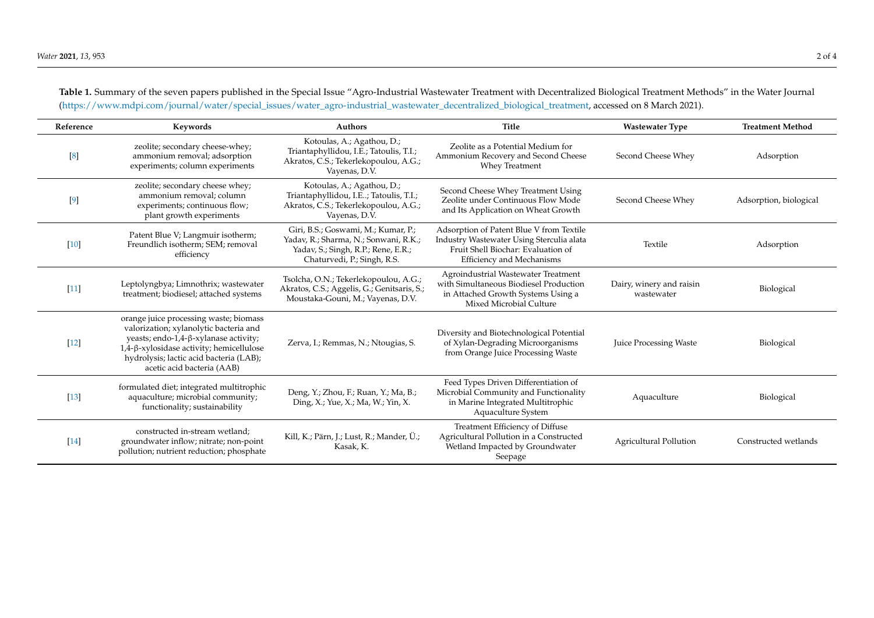<span id="page-1-0"></span>**Reference Keywords Authors Title Wastewater Type Treatment Method** [\[8\]](#page-3-7) zeolite; secondary cheese-whey; ammonium removal; adsorption experiments; column experiments Kotoulas, A.; Agathou, D.; Triantaphyllidou, I.E.; Tatoulis, T.I.; Akratos, C.S.; Tekerlekopoulou, A.G.; Vayenas, D.V. Zeolite as a Potential Medium for Ammonium Recovery and Second Cheese Whey Treatment Second Cheese Whey **Adsorption** [\[9\]](#page-3-8) zeolite; secondary cheese whey; ammonium removal; column experiments; continuous flow; plant growth experiments Kotoulas, A.; Agathou, D.; Triantaphyllidou, I.E..; Tatoulis, T.I.; Akratos, C.S.; Tekerlekopoulou, A.G.; Vayenas, D.V. Second Cheese Whey Treatment Using Zeolite under Continuous Flow Mode and Its Application on Wheat Growth Second Cheese Whey Adsorption, biological [\[10\]](#page-3-9) Patent Blue V; Langmuir isotherm; Freundlich isotherm; SEM; removal efficiency Giri, B.S.; Goswami, M.; Kumar, P.; Yadav, R.; Sharma, N.; Sonwani, R.K.; Yadav, S.; Singh, R.P.; Rene, E.R.; Chaturvedi, P.; Singh, R.S. Adsorption of Patent Blue V from Textile Industry Wastewater Using Sterculia alata Fruit Shell Biochar: Evaluation of Efficiency and Mechanisms Textile Adsorption [\[11\]](#page-3-10) Leptolyngbya; Limnothrix; wastewater treatment; biodiesel; attached systems Tsolcha, O.N.; Tekerlekopoulou, A.G.; Akratos, C.S.; Aggelis, G.; Genitsaris, S.; Moustaka-Gouni, M.; Vayenas, D.V. Agroindustrial Wastewater Treatment with Simultaneous Biodiesel Production in Attached Growth Systems Using a Mixed Microbial Culture Dairy, winery and raisin whiery and raism<br>
Wastewater Biological [\[12\]](#page-3-11) orange juice processing waste; biomass valorization; xylanolytic bacteria and yeasts; endo-1,4-β-xylanase activity; 1,4-β-xylosidase activity; hemicellulose hydrolysis; lactic acid bacteria (LAB); acetic acid bacteria (AAB) Zerva, I.; Remmas, N.; Ntougias, S. Diversity and Biotechnological Potential of Xylan-Degrading Microorganisms from Orange Juice Processing Waste Juice Processing Waste Biological [\[13\]](#page-3-12) formulated diet; integrated multitrophic aquaculture; microbial community; functionality; sustainability Deng, Y.; Zhou, F.; Ruan, Y.; Ma, B.; Ding, X.; Yue, X.; Ma, W.; Yin, X. Feed Types Driven Differentiation of Microbial Community and Functionality in Marine Integrated Multitrophic Aquaculture System Aquaculture Biological [\[14\]](#page-3-13) constructed in-stream wetland; groundwater inflow; nitrate; non-point pollution; nutrient reduction; phosphate Kill, K.; Pärn, J.; Lust, R.; Mander, Ü.; Kasak, K. Treatment Efficiency of Diffuse Agricultural Pollution in a Constructed Wetland Impacted by Groundwater Seepage Agricultural Pollution Constructed wetlands

**Table 1.** Summary of the seven papers published in the Special Issue "Agro-Industrial Wastewater Treatment with Decentralized Biological Treatment Methods" in the Water Journal [\(https://www.mdpi.com/journal/water/special\\_issues/water\\_agro-industrial\\_wastewater\\_decentralized\\_biological\\_treatment,](https://www.mdpi.com/journal/water/special_issues/water_agro-industrial_wastewater_decentralized_biological_treatment) accessed on 8 March 2021).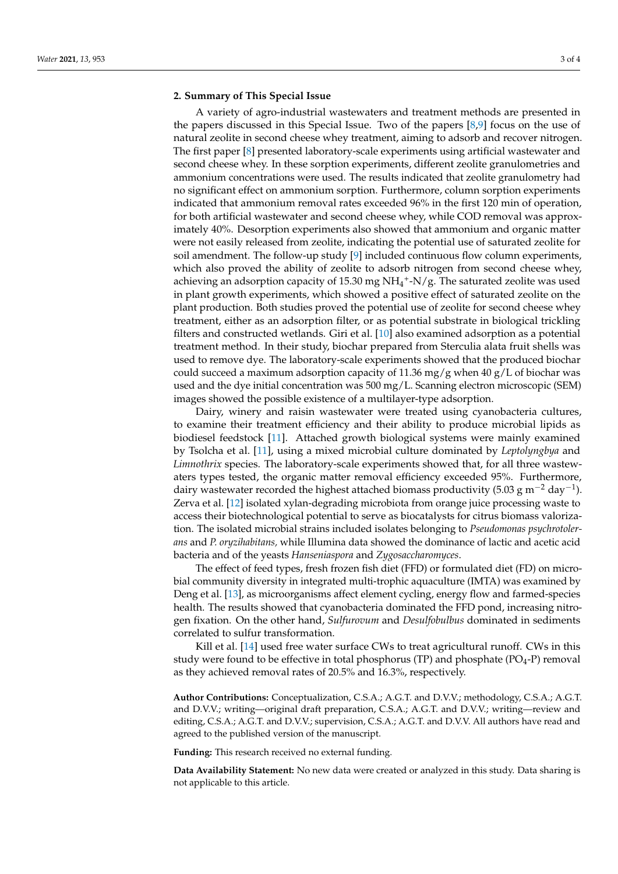## **2. Summary of This Special Issue**

A variety of agro-industrial wastewaters and treatment methods are presented in the papers discussed in this Special Issue. Two of the papers [\[8,](#page-3-14)[9\]](#page-3-15) focus on the use of natural zeolite in second cheese whey treatment, aiming to adsorb and recover nitrogen. The first paper [\[8\]](#page-3-14) presented laboratory-scale experiments using artificial wastewater and second cheese whey. In these sorption experiments, different zeolite granulometries and ammonium concentrations were used. The results indicated that zeolite granulometry had no significant effect on ammonium sorption. Furthermore, column sorption experiments indicated that ammonium removal rates exceeded 96% in the first 120 min of operation, for both artificial wastewater and second cheese whey, while COD removal was approximately 40%. Desorption experiments also showed that ammonium and organic matter were not easily released from zeolite, indicating the potential use of saturated zeolite for soil amendment. The follow-up study [\[9\]](#page-3-15) included continuous flow column experiments, which also proved the ability of zeolite to adsorb nitrogen from second cheese whey, achieving an adsorption capacity of 15.30 mg  $NH_4^+$ -N/g. The saturated zeolite was used in plant growth experiments, which showed a positive effect of saturated zeolite on the plant production. Both studies proved the potential use of zeolite for second cheese whey treatment, either as an adsorption filter, or as potential substrate in biological trickling filters and constructed wetlands. Giri et al. [\[10\]](#page-3-16) also examined adsorption as a potential treatment method. In their study, biochar prepared from Sterculia alata fruit shells was used to remove dye. The laboratory-scale experiments showed that the produced biochar could succeed a maximum adsorption capacity of 11.36 mg/g when 40 g/L of biochar was used and the dye initial concentration was 500 mg/L. Scanning electron microscopic (SEM) images showed the possible existence of a multilayer-type adsorption.

Dairy, winery and raisin wastewater were treated using cyanobacteria cultures, to examine their treatment efficiency and their ability to produce microbial lipids as biodiesel feedstock [\[11\]](#page-3-17). Attached growth biological systems were mainly examined by Tsolcha et al. [\[11\]](#page-3-17), using a mixed microbial culture dominated by *Leptolyngbya* and *Limnothrix* species. The laboratory-scale experiments showed that, for all three wastewaters types tested, the organic matter removal efficiency exceeded 95%. Furthermore, dairy wastewater recorded the highest attached biomass productivity (5.03 g m<sup>-2</sup> day<sup>-1</sup>). Zerva et al. [\[12\]](#page-3-18) isolated xylan-degrading microbiota from orange juice processing waste to access their biotechnological potential to serve as biocatalysts for citrus biomass valorization. The isolated microbial strains included isolates belonging to *Pseudomonas psychrotolerans* and *P. oryzihabitans,* while Illumina data showed the dominance of lactic and acetic acid bacteria and of the yeasts *Hanseniaspora* and *Zygosaccharomyces*.

The effect of feed types, fresh frozen fish diet (FFD) or formulated diet (FD) on microbial community diversity in integrated multi-trophic aquaculture (IMTA) was examined by Deng et al. [\[13\]](#page-3-19), as microorganisms affect element cycling, energy flow and farmed-species health. The results showed that cyanobacteria dominated the FFD pond, increasing nitrogen fixation. On the other hand, *Sulfurovum* and *Desulfobulbus* dominated in sediments correlated to sulfur transformation.

Kill et al. [\[14\]](#page-3-20) used free water surface CWs to treat agricultural runoff. CWs in this study were found to be effective in total phosphorus (TP) and phosphate ( $PO_4-P$ ) removal as they achieved removal rates of 20.5% and 16.3%, respectively.

**Author Contributions:** Conceptualization, C.S.A.; A.G.T. and D.V.V.; methodology, C.S.A.; A.G.T. and D.V.V.; writing—original draft preparation, C.S.A.; A.G.T. and D.V.V.; writing—review and editing, C.S.A.; A.G.T. and D.V.V.; supervision, C.S.A.; A.G.T. and D.V.V. All authors have read and agreed to the published version of the manuscript.

**Funding:** This research received no external funding.

**Data Availability Statement:** No new data were created or analyzed in this study. Data sharing is not applicable to this article.